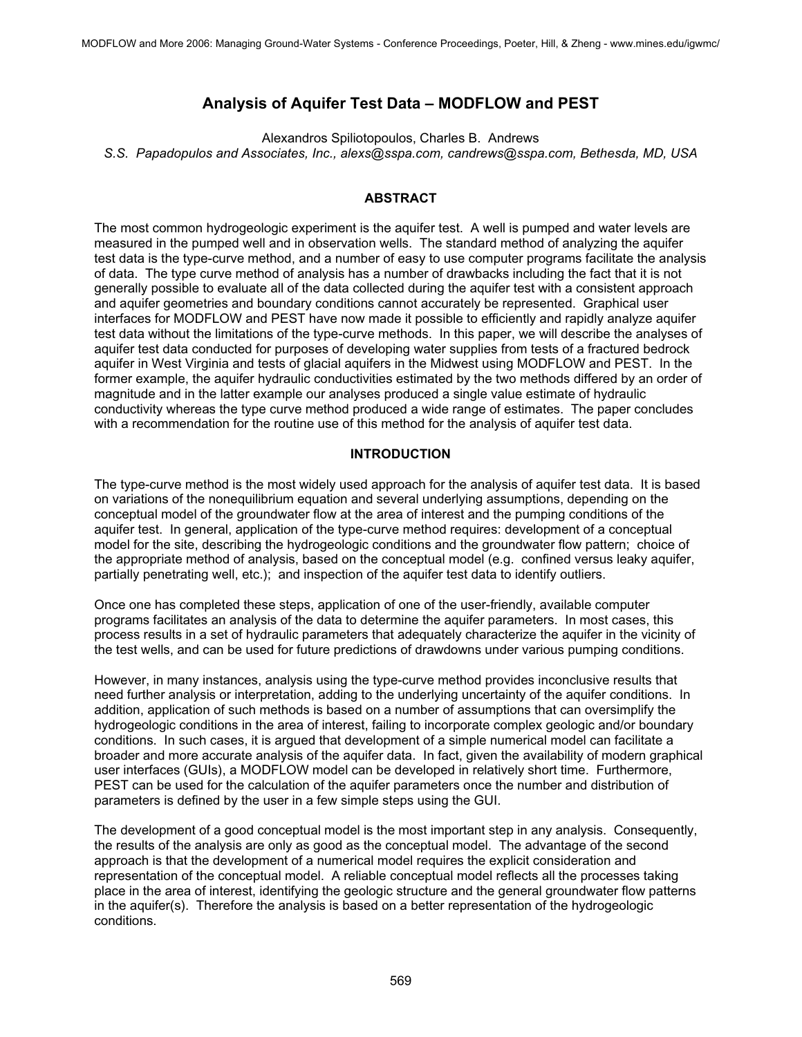# **Analysis of Aquifer Test Data – MODFLOW and PEST**

Alexandros Spiliotopoulos, Charles B. Andrews *S.S. Papadopulos and Associates, Inc., alexs@sspa.com, candrews@sspa.com, Bethesda, MD, USA*

## **ABSTRACT**

The most common hydrogeologic experiment is the aquifer test. A well is pumped and water levels are measured in the pumped well and in observation wells. The standard method of analyzing the aquifer test data is the type-curve method, and a number of easy to use computer programs facilitate the analysis of data. The type curve method of analysis has a number of drawbacks including the fact that it is not generally possible to evaluate all of the data collected during the aquifer test with a consistent approach and aquifer geometries and boundary conditions cannot accurately be represented. Graphical user interfaces for MODFLOW and PEST have now made it possible to efficiently and rapidly analyze aquifer test data without the limitations of the type-curve methods. In this paper, we will describe the analyses of aquifer test data conducted for purposes of developing water supplies from tests of a fractured bedrock aquifer in West Virginia and tests of glacial aquifers in the Midwest using MODFLOW and PEST. In the former example, the aquifer hydraulic conductivities estimated by the two methods differed by an order of magnitude and in the latter example our analyses produced a single value estimate of hydraulic conductivity whereas the type curve method produced a wide range of estimates. The paper concludes with a recommendation for the routine use of this method for the analysis of aquifer test data.

## **INTRODUCTION**

The type-curve method is the most widely used approach for the analysis of aquifer test data. It is based on variations of the nonequilibrium equation and several underlying assumptions, depending on the conceptual model of the groundwater flow at the area of interest and the pumping conditions of the aquifer test. In general, application of the type-curve method requires: development of a conceptual model for the site, describing the hydrogeologic conditions and the groundwater flow pattern; choice of the appropriate method of analysis, based on the conceptual model (e.g. confined versus leaky aquifer, partially penetrating well, etc.); and inspection of the aquifer test data to identify outliers.

Once one has completed these steps, application of one of the user-friendly, available computer programs facilitates an analysis of the data to determine the aquifer parameters. In most cases, this process results in a set of hydraulic parameters that adequately characterize the aquifer in the vicinity of the test wells, and can be used for future predictions of drawdowns under various pumping conditions.

However, in many instances, analysis using the type-curve method provides inconclusive results that need further analysis or interpretation, adding to the underlying uncertainty of the aquifer conditions. In addition, application of such methods is based on a number of assumptions that can oversimplify the hydrogeologic conditions in the area of interest, failing to incorporate complex geologic and/or boundary conditions. In such cases, it is argued that development of a simple numerical model can facilitate a broader and more accurate analysis of the aquifer data. In fact, given the availability of modern graphical user interfaces (GUIs), a MODFLOW model can be developed in relatively short time. Furthermore, PEST can be used for the calculation of the aquifer parameters once the number and distribution of parameters is defined by the user in a few simple steps using the GUI.

The development of a good conceptual model is the most important step in any analysis. Consequently, the results of the analysis are only as good as the conceptual model. The advantage of the second approach is that the development of a numerical model requires the explicit consideration and representation of the conceptual model. A reliable conceptual model reflects all the processes taking place in the area of interest, identifying the geologic structure and the general groundwater flow patterns in the aquifer(s). Therefore the analysis is based on a better representation of the hydrogeologic conditions.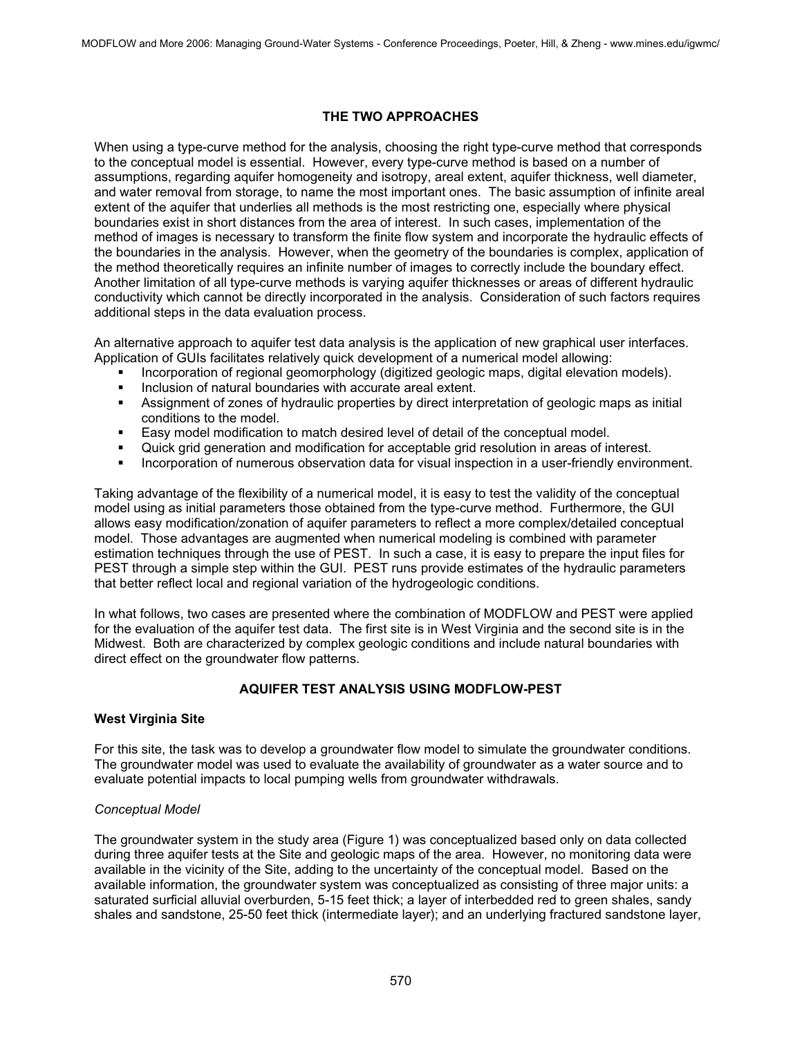## **THE TWO APPROACHES**

When using a type-curve method for the analysis, choosing the right type-curve method that corresponds to the conceptual model is essential. However, every type-curve method is based on a number of assumptions, regarding aquifer homogeneity and isotropy, areal extent, aquifer thickness, well diameter, and water removal from storage, to name the most important ones. The basic assumption of infinite areal extent of the aquifer that underlies all methods is the most restricting one, especially where physical boundaries exist in short distances from the area of interest. In such cases, implementation of the method of images is necessary to transform the finite flow system and incorporate the hydraulic effects of the boundaries in the analysis. However, when the geometry of the boundaries is complex, application of the method theoretically requires an infinite number of images to correctly include the boundary effect. Another limitation of all type-curve methods is varying aquifer thicknesses or areas of different hydraulic conductivity which cannot be directly incorporated in the analysis. Consideration of such factors requires additional steps in the data evaluation process.

An alternative approach to aquifer test data analysis is the application of new graphical user interfaces. Application of GUIs facilitates relatively quick development of a numerical model allowing:

- Incorporation of regional geomorphology (digitized geologic maps, digital elevation models).
- Inclusion of natural boundaries with accurate areal extent.<br>In Assignment of zones of bydraulic properties by direct inter-
- Assignment of zones of hydraulic properties by direct interpretation of geologic maps as initial conditions to the model.
- Easy model modification to match desired level of detail of the conceptual model.
- Quick grid generation and modification for acceptable grid resolution in areas of interest.
- Incorporation of numerous observation data for visual inspection in a user-friendly environment.

Taking advantage of the flexibility of a numerical model, it is easy to test the validity of the conceptual model using as initial parameters those obtained from the type-curve method. Furthermore, the GUI allows easy modification/zonation of aquifer parameters to reflect a more complex/detailed conceptual model. Those advantages are augmented when numerical modeling is combined with parameter estimation techniques through the use of PEST. In such a case, it is easy to prepare the input files for PEST through a simple step within the GUI. PEST runs provide estimates of the hydraulic parameters that better reflect local and regional variation of the hydrogeologic conditions.

In what follows, two cases are presented where the combination of MODFLOW and PEST were applied for the evaluation of the aquifer test data. The first site is in West Virginia and the second site is in the Midwest. Both are characterized by complex geologic conditions and include natural boundaries with direct effect on the groundwater flow patterns.

# **AQUIFER TEST ANALYSIS USING MODFLOW-PEST**

## **West Virginia Site**

For this site, the task was to develop a groundwater flow model to simulate the groundwater conditions. The groundwater model was used to evaluate the availability of groundwater as a water source and to evaluate potential impacts to local pumping wells from groundwater withdrawals.

## *Conceptual Model*

The groundwater system in the study area (Figure 1) was conceptualized based only on data collected during three aquifer tests at the Site and geologic maps of the area. However, no monitoring data were available in the vicinity of the Site, adding to the uncertainty of the conceptual model. Based on the available information, the groundwater system was conceptualized as consisting of three major units: a saturated surficial alluvial overburden, 5-15 feet thick; a layer of interbedded red to green shales, sandy shales and sandstone, 25-50 feet thick (intermediate layer); and an underlying fractured sandstone layer,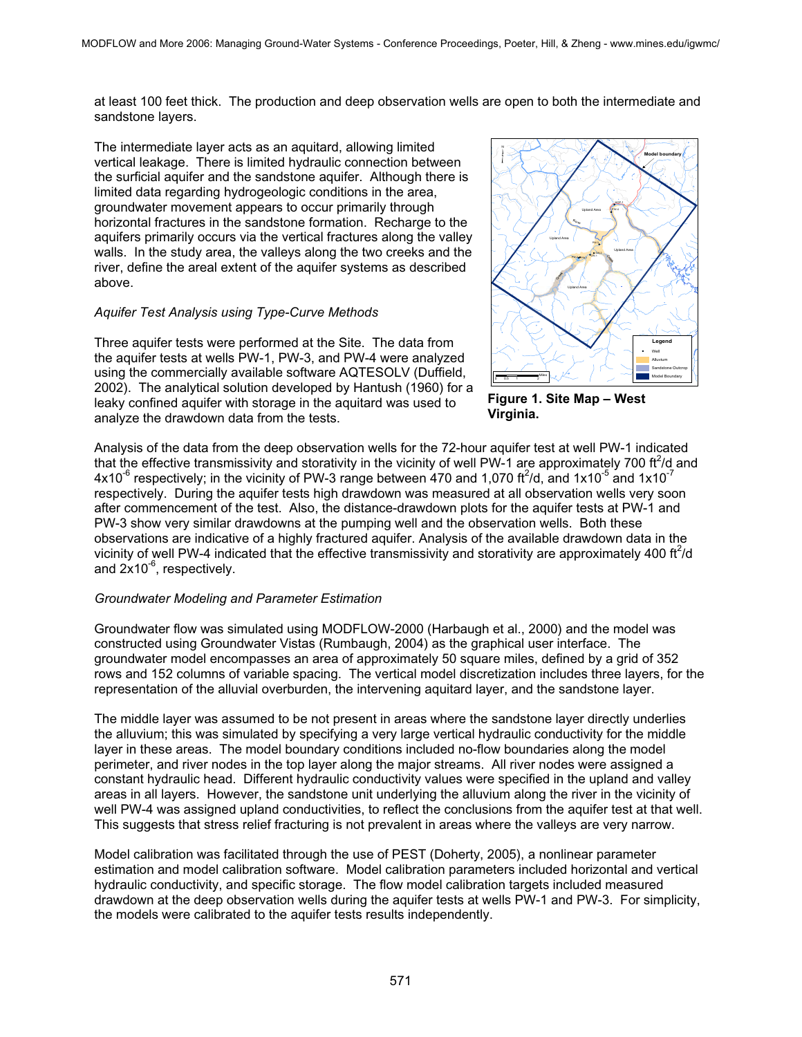at least 100 feet thick. The production and deep observation wells are open to both the intermediate and sandstone layers.

The intermediate layer acts as an aquitard, allowing limited vertical leakage. There is limited hydraulic connection between the surficial aquifer and the sandstone aquifer. Although there is limited data regarding hydrogeologic conditions in the area, groundwater movement appears to occur primarily through horizontal fractures in the sandstone formation. Recharge to the aquifers primarily occurs via the vertical fractures along the valley walls. In the study area, the valleys along the two creeks and the river, define the areal extent of the aquifer systems as described above.

## *Aquifer Test Analysis using Type-Curve Methods*

Three aquifer tests were performed at the Site. The data from the aquifer tests at wells PW-1, PW-3, and PW-4 were analyzed using the commercially available software AQTESOLV (Duffield, 2002). The analytical solution developed by Hantush (1960) for a leaky confined aquifer with storage in the aquitard was used to analyze the drawdown data from the tests.



**Figure 1. Site Map – West Virginia.**

Analysis of the data from the deep observation wells for the 72-hour aquifer test at well PW-1 indicated that the effective transmissivity and storativity in the vicinity of well PW-1 are approximately 700 ft<sup>2</sup>/d and 4x10<sup>-6</sup> respectively; in the vicinity of PW-3 range between 470 and 1,070 ft<sup>2</sup>/d, and 1x10<sup>-5</sup> and 1x10<sup>-7</sup> respectively. During the aquifer tests high drawdown was measured at all observation wells very soon after commencement of the test. Also, the distance-drawdown plots for the aquifer tests at PW-1 and PW-3 show very similar drawdowns at the pumping well and the observation wells. Both these observations are indicative of a highly fractured aquifer. Analysis of the available drawdown data in the vicinity of well PW-4 indicated that the effective transmissivity and storativity are approximately 400 ft<sup>2</sup>/d and  $2x10^{-6}$ , respectively.

## *Groundwater Modeling and Parameter Estimation*

Groundwater flow was simulated using MODFLOW-2000 (Harbaugh et al., 2000) and the model was constructed using Groundwater Vistas (Rumbaugh, 2004) as the graphical user interface. The groundwater model encompasses an area of approximately 50 square miles, defined by a grid of 352 rows and 152 columns of variable spacing. The vertical model discretization includes three layers, for the representation of the alluvial overburden, the intervening aquitard layer, and the sandstone layer.

The middle layer was assumed to be not present in areas where the sandstone layer directly underlies the alluvium; this was simulated by specifying a very large vertical hydraulic conductivity for the middle layer in these areas. The model boundary conditions included no-flow boundaries along the model perimeter, and river nodes in the top layer along the major streams. All river nodes were assigned a constant hydraulic head. Different hydraulic conductivity values were specified in the upland and valley areas in all layers. However, the sandstone unit underlying the alluvium along the river in the vicinity of well PW-4 was assigned upland conductivities, to reflect the conclusions from the aquifer test at that well. This suggests that stress relief fracturing is not prevalent in areas where the valleys are very narrow.

Model calibration was facilitated through the use of PEST (Doherty, 2005), a nonlinear parameter estimation and model calibration software. Model calibration parameters included horizontal and vertical hydraulic conductivity, and specific storage. The flow model calibration targets included measured drawdown at the deep observation wells during the aquifer tests at wells PW-1 and PW-3. For simplicity, the models were calibrated to the aquifer tests results independently.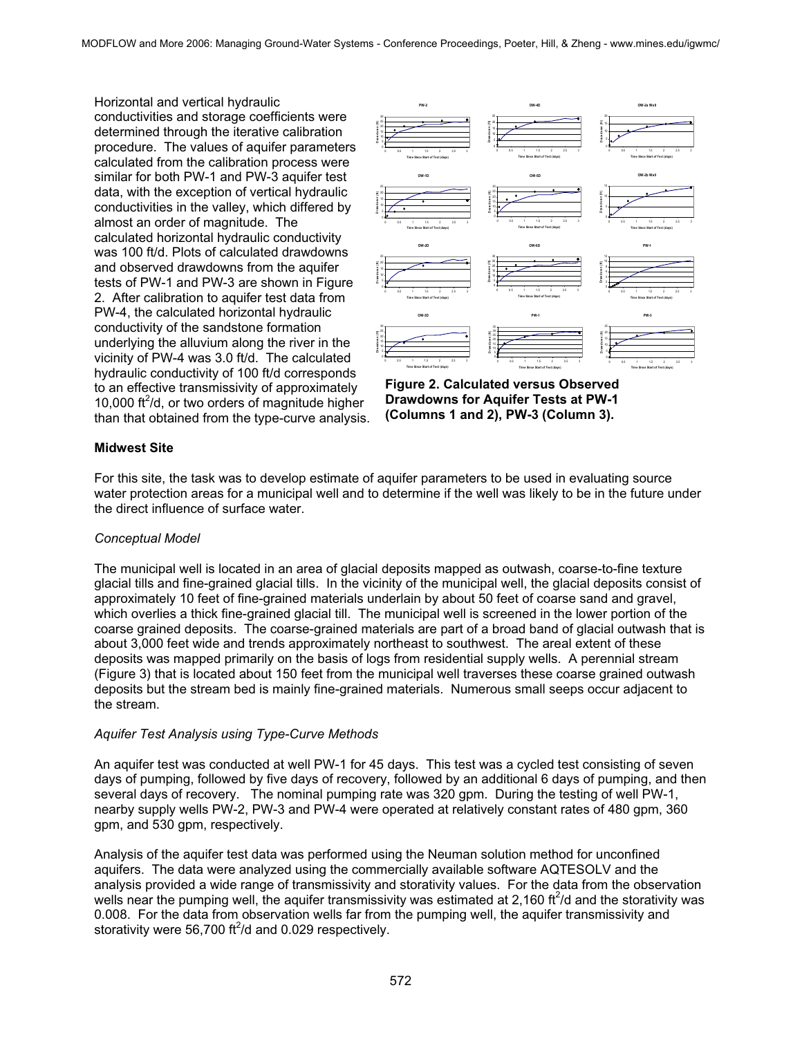Horizontal and vertical hydraulic conductivities and storage coefficients were determined through the iterative calibration procedure. The values of aquifer parameters calculated from the calibration process were similar for both PW-1 and PW-3 aquifer test data, with the exception of vertical hydraulic conductivities in the valley, which differed by almost an order of magnitude. The calculated horizontal hydraulic conductivity was 100 ft/d. Plots of calculated drawdowns and observed drawdowns from the aquifer tests of PW-1 and PW-3 are shown in Figure 2. After calibration to aquifer test data from PW-4, the calculated horizontal hydraulic conductivity of the sandstone formation underlying the alluvium along the river in the vicinity of PW-4 was 3.0 ft/d. The calculated hydraulic conductivity of 100 ft/d corresponds to an effective transmissivity of approximately 10,000 ft<sup>2</sup>/d, or two orders of magnitude higher than that obtained from the type-curve analysis.



**Figure 2. Calculated versus Observed Drawdowns for Aquifer Tests at PW-1 (Columns 1 and 2), PW-3 (Column 3).**

#### **Midwest Site**

For this site, the task was to develop estimate of aquifer parameters to be used in evaluating source water protection areas for a municipal well and to determine if the well was likely to be in the future under the direct influence of surface water.

#### *Conceptual Model*

The municipal well is located in an area of glacial deposits mapped as outwash, coarse-to-fine texture glacial tills and fine-grained glacial tills. In the vicinity of the municipal well, the glacial deposits consist of approximately 10 feet of fine-grained materials underlain by about 50 feet of coarse sand and gravel, which overlies a thick fine-grained glacial till. The municipal well is screened in the lower portion of the coarse grained deposits. The coarse-grained materials are part of a broad band of glacial outwash that is about 3,000 feet wide and trends approximately northeast to southwest. The areal extent of these deposits was mapped primarily on the basis of logs from residential supply wells. A perennial stream (Figure 3) that is located about 150 feet from the municipal well traverses these coarse grained outwash deposits but the stream bed is mainly fine-grained materials. Numerous small seeps occur adjacent to the stream.

## *Aquifer Test Analysis using Type-Curve Methods*

An aquifer test was conducted at well PW-1 for 45 days. This test was a cycled test consisting of seven days of pumping, followed by five days of recovery, followed by an additional 6 days of pumping, and then several days of recovery. The nominal pumping rate was 320 gpm. During the testing of well PW-1, nearby supply wells PW-2, PW-3 and PW-4 were operated at relatively constant rates of 480 gpm, 360 gpm, and 530 gpm, respectively.

Analysis of the aquifer test data was performed using the Neuman solution method for unconfined aquifers. The data were analyzed using the commercially available software AQTESOLV and the analysis provided a wide range of transmissivity and storativity values. For the data from the observation wells near the pumping well, the aquifer transmissivity was estimated at 2,160 ft $^2$ /d and the storativity was 0.008. For the data from observation wells far from the pumping well, the aquifer transmissivity and storativity were 56,700 ft $^2$ /d and 0.029 respectively.